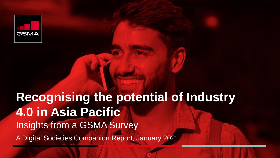

# **Recognising the potential of Industry 4.0 in Asia Pacific** Insights from a GSMA Survey A Digital Societies Companion Report, January 2021

CONFIDENTIAL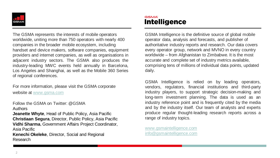

The GSMA represents the interests of mobile operators worldwide, uniting more than 750 operators with nearly 400 companies in the broader mobile ecosystem, including handset and device makers, software companies, equipment providers and internet companies, as well as organisations in adjacent industry sectors. The GSMA also produces the industry-leading MWC events held annually in Barcelona, Los Angeles and Shanghai, as well as the Mobile 360 Series of regional conferences.

For more information, please visit the GSMA corporate website at [www.gsma.com](http://www.gsma.com/)

Follow the GSMA on Twitter: @GSMA

Authors

**Jeanette Whyte**, Head of Public Policy, Asia Pacific **Christiaan Segura**, Director, Public Policy, Asia Pacific **Vidhi Sharma**, Government Affairs Project Coordinator, Asia Pacific

**Kenechi Okeleke**, Director, Social and Regional Research

### **GSMA Intelligence**

GSMA Intelligence is the definitive source of global mobile operator data, analysis and forecasts, and publisher of authoritative industry reports and research. Our data covers every operator group, network and MVNO in every country worldwide – from Afghanistan to Zimbabwe. It is the most accurate and complete set of industry metrics available, comprising tens of millions of individual data points, updated daily.

GSMA Intelligence is relied on by leading operators, vendors, regulators, financial institutions and third-party industry players, to support strategic decision-making and long-term investment planning. The data is used as an industry reference point and is frequently cited by the media and by the industry itself. Our team of analysts and experts produce regular thought-leading research reports across a range of industry topics.

[www.gsmaintelligence.com](http://www.gsmaintelligence.com/) [info@gsmaintelligence.com](mailto:info@gsmaintelligence.com)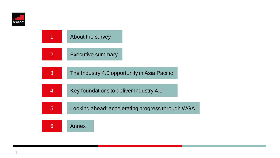

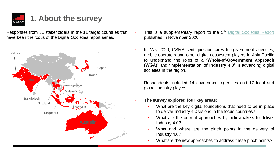

### **1. About the survey**

Responses from 31 stakeholders in the 11 target countries that have been the focus of the Digital Societies report series.



- This is a supplementary report to the 5<sup>th</sup> Digital [Societies](https://www.gsma.com/asia-pacific/resources/apac-digital-societies-2020/) Report published in November 2020.
- In May 2020, GSMA sent questionnaires to government agencies, mobile operators and other digital ecosystem players in Asia Pacific to understand the roles of a **'Whole-of-Government approach (WGA)'** and **'Implementation of Industry 4.0'** in advancing digital societies in the region.
- Respondents included 14 government agencies and 17 local and global industry players.
- **The survey explored four key areas:**
	- What are the key digital foundations that need to be in place to deliver Industry 4.0 visions in the focus countries?
	- What are the current approaches by policymakers to deliver Industry 4.0?
	- What and where are the pinch points in the delivery of Industry 4.0?
	- What are the new approaches to address these pinch points?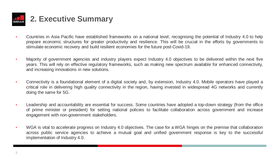

- Countries in Asia Pacific have established frameworks on a national level, recognising the potential of Industry 4.0 to help prepare economic structures for greater productivity and resilience. This will be crucial in the efforts by governments to stimulate economic recovery and build resilient economies for the future post-Covid-19.
- Majority of government agencies and industry players expect Industry 4.0 objectives to be delivered within the next five years. This will rely on effective regulatory frameworks, such as making new spectrum available for enhanced connectivity, and increasing innovations in new solutions.
- Connectivity is a foundational element of a digital society and, by extension, Industry 4.0. Mobile operators have played a critical role in delivering high quality connectivity in the region, having invested in widespread 4G networks and currently doing the same for 5G.
- Leadership and accountability are essential for success. Some countries have adopted a top-down strategy (from the office of prime minister or president) for setting national policies to facilitate collaboration across government and increase engagement with non-government stakeholders.
- WGA is vital to accelerate progress on Industry 4.0 objectives. The case for a WGA hinges on the premise that collaboration across public service agencies to achieve a mutual goal and unified government response is key to the successful implementation of Industry 4.0.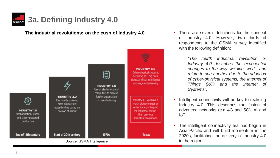

**The industrial revolutions: on the cusp of Industry 4.0** 



• There are several definitions for the concept of Industry 4.0. However, two thirds of respondents to the GSMA survey identified with the following definition:

> *"The fourth industrial revolution or Industry 4.0 describes the exponential changes to the way we live, work, and relate to one another due to the adoption of cyber-physical systems, the Internet of Things (IoT) and the Internet of Systems"*.

- Intelligent connectivity will be key to realising Industry 4.0. This describes the fusion of advanced networks (e.g 4G and 5G), AI and IoT.
- The intelligent connectivity era has begun in Asia Pacific and will build momentum in the 2020s, facilitating the delivery of Industry 4.0 in the region.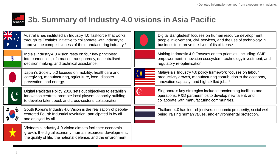

### **3b. Summary of Industry 4.0 visions in Asia Pacific**

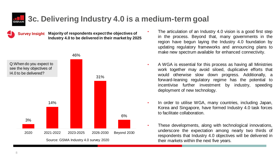

**Survey Insight Majority of respondents expect the objectives of Industry 4.0 to be delivered in their market by 2025**



- The articulation of an Industry 4.0 vision is a good first step in the process. Beyond that, many governments in the region have begun laying the Industry 4.0 foundation by updating regulatory frameworks and announcing plans to make new spectrum available for enhanced connectivity.
- A WGA is essential for this process as having all Ministries work together may avoid siloed, duplicative efforts that would otherwise slow down progress. Additionally, a forward-leaning regulatory regime has the potential to incentivise further investment by industry, speeding deployment of new technology.
- In order to utilise WGA, many countries, including Japan, Korea and Singapore, have formed Industry 4.0 task forces to facilitate collaboration.
- These developments, along with technological innovations, underscore the expectation among nearly two thirds of respondents that Industry 4.0 objectives will be delivered in their markets within the next five years.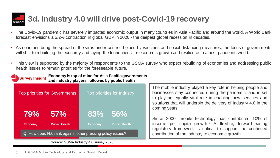## **3d. Industry 4.0 will drive post-Covid-19 recovery**

- The Covid-19 pandemic has severely impacted economic output in many countries in Asia Pacific and around the world. A World Bank forecast envisions a 5.2% contraction in global GDP in 2020 - the deepest global recession in decades.
- As countries bring the spread of the virus under control, helped by vaccines and social distancing measures, the focus of governments will shift to rebuilding the economy and laying the foundations for economic growth and resilience in a post-pandemic world.
- This view is supported by the majority of respondents to the GSMA survey who expect rebuilding of economies and addressing public health issues to remain priorities for the foreseeable future.

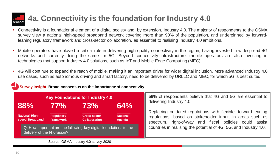## **4a. Connectivity is the foundation for Industry 4.0**

- Connectivity is a foundational element of a digital society and, by extension, Industry 4.0. The majority of respondents to the GSMA survey view a national high-speed broadband network covering more than 90% of the population, and underpinned by forwardleaning regulatory framework and cross-sector collaboration, as essential to realising Industry 4.0 ambitions.
- Mobile operators have played a critical role in delivering high quality connectivity in the region, having invested in widespread 4G networks and currently doing the same for 5G. Beyond connectivity infrastructure, mobile operators are also investing in technologies that support Industry 4.0 solutions, such as IoT and Mobile Edge Computing (MEC).
- 4G will continue to expand the reach of mobile, making it an important driver for wider digital inclusion. More advanced Industry 4.0 use cases, such as autonomous driving and smart factory, need to be delivered by URLLC and MEC, for which 5G is best suited.

### **Survey Insight Broad consensus on the importance of connectivity**

| <b>Key Foundations for Industry 4.0</b>                                                           |                                       |                                                    |                                  | 56% of respondents believe that 4G and 5G are essential to<br>delivering Industry 4.0.                                                                                                |
|---------------------------------------------------------------------------------------------------|---------------------------------------|----------------------------------------------------|----------------------------------|---------------------------------------------------------------------------------------------------------------------------------------------------------------------------------------|
| <b>88%</b><br><b>National High-</b><br>speed Broadband                                            | 77%<br>Regulatory<br><b>Framework</b> | 73%<br><b>Cross-sector</b><br><b>Collaboration</b> | 64%<br><b>National</b><br>Agenda | Replacing outdated regulations with flexible, forward-leaning<br>regulations, based on stakeholder input, in areas such as<br>spectrum, right-of-way and fiscal policies could assist |
| Q: How important are the following key digital foundations to the<br>delivery of the I4.0 vision? |                                       |                                                    |                                  | countries in realising the potential of 4G, 5G, and Industry 4.0.                                                                                                                     |
| Source: GSMA Industry 4.0 survey 2020                                                             |                                       |                                                    |                                  |                                                                                                                                                                                       |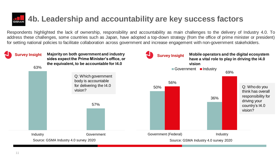## **4b. Leadership and accountability are key success factors**

Respondents highlighted the lack of ownership, responsibility and accountability as main challenges to the delivery of Industry 4.0. To address these challenges, some countries such as Japan, have adopted a top-down strategy (from the office of prime minister or president) for setting national policies to facilitate collaboration across government and increase engagement with non-government stakeholders.

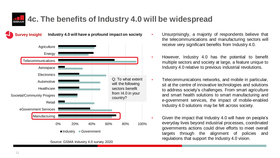### **4c. The benefits of Industry 4.0 will be widespread**

**Industry 4.0 will have a profound impact on society**

0% 20% 40% 60% 80% 100% **Manufacturing** eGovernment Services Retail Societal/Community Progres **Healthcare** Automotive Electronics Aerospace **Telecommunications** Energy **Agriculture** ■Industry Government Q: To what extent will the following sectors benefit from I4.0 in your country?

- Unsurprisingly, a majority of respondents believe that the telecommunications and manufacturing sectors will receive very significant benefits from Industry 4.0.
- However, Industry 4.0 has the potential to benefit multiple sectors and society at large, a feature unique to Industry 4.0 relative to previous industrial revolutions.
- Telecommunications networks, and mobile in particular, sit at the centre of innovative technologies and solutions to address society's challenges. From smart agriculture and smart health solutions to smart manufacturing and e-government services, the impact of mobile-enabled Industry 4.0 solutions may be felt across society.
	- Given the impact that Industry 4.0 will have on people's everyday lives beyond industrial processes, coordinated governments actions could drive efforts to meet overall targets through the alignment of policies and regulations that support the Industry 4.0 vision.

**Survey Insight**

Source: GSMA Industry 4.0 survey 2020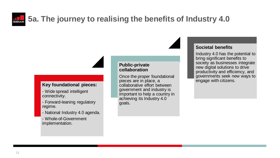## **5a. The journey to realising the benefits of Industry 4.0**

## **Key foundational pieces:**

- Wide spread intelligent connectivity.
- Forward-leaning regulatory regime.
- National Industry 4.0 agenda.
- Whole-of-Government implementation.

#### **Public-private collaboration**

Once the proper foundational pieces are in place, a collaborative effort between government and industry is important to help a country in achieving its Industry 4.0 goals.

### **Societal benefits**

Industry 4.0 has the potential to bring significant benefits to society as businesses integrate new digital solutions to drive productivity and efficiency, and governments seek new ways to engage with citizens.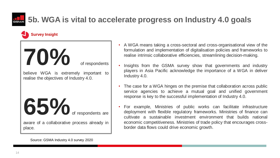

### **5b. WGA is vital to accelerate progress on Industry 4.0 goals**

### **Survey Insight**

**70%** of respondents believe WGA is extremely important to realise the objectives of Industry 4.0. **65%** of respondents are aware of a collaborative process already in place.

- A WGA means taking a cross-sectoral and cross-organisational view of the formulation and implementation of digitalisation policies and frameworks to realise intrinsic collaborative efficiencies, streamlining decision-making.
- Insights from the GSMA survey show that governments and industry players in Asia Pacific acknowledge the importance of a WGA in deliver Industry 4.0.
- The case for a WGA hinges on the premise that collaboration across public service agencies to achieve a mutual goal and unified government response is key to the successful implementation of Industry 4.0.
- For example, Ministries of public works can facilitate infrastructure deployment with flexible regulatory frameworks. Ministries of finance can cultivate a sustainable investment environment that builds national economic competitiveness. Ministries of trade policy that encourages crossborder data flows could drive economic growth.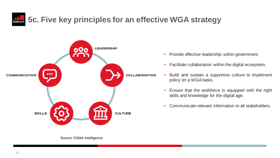**5c. Five key principles for an effective WGA strategy** 



- Provide effective leadership within government.
- Facilitate collaboration within the digital ecosystem.
- Build and sustain a supportive culture to implement policy on a WGA basis.
	- Ensure that the workforce is equipped with the right skills and knowledge for the digital age.
	- Communicate relevant information to all stakeholders.

Source: GSMA Intelligence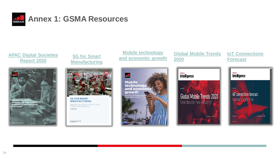

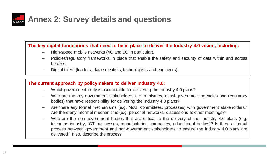

### **The key digital foundations that need to be in place to deliver the Industry 4.0 vision, including:**

- High-speed mobile networks (4G and 5G in particular).
- Policies/regulatory frameworks in place that enable the safety and security of data within and across borders.
- Digital talent (leaders, data scientists, technologists and engineers).

#### **The current approach by policymakers to deliver Industry 4.0:**

- Which government body is accountable for delivering the Industry 4.0 plans?
- Who are the key government stakeholders (i.e. ministries, quasi-government agencies and regulatory bodies) that have responsibility for delivering the Industry 4.0 plans?
- Are there any formal mechanisms (e.g. MoU, committees, processes) with government stakeholders? Are there any informal mechanisms (e.g. personal networks, discussions at other meetings)?
- Who are the non-government bodies that are critical to the delivery of the Industry 4.0 plans (e.g. telecoms industry, ICT businesses, manufacturing companies, educational bodies)? Is there a formal process between government and non-government stakeholders to ensure the Industry 4.0 plans are delivered? If so, describe the process.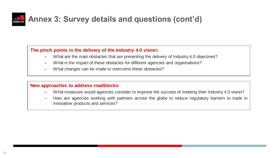

### **Annex 3: Survey details and questions (cont'd)**

#### **The pinch points in the delivery of the Industry 4.0 vision:**

- What are the main obstacles that are preventing the delivery of Industry 4.0 objectives?
- What is the impact of these obstacles for different agencies and organisations?
- What changes can be made to overcome these obstacles?

#### **New approaches to address roadblocks:**

- What measures would agencies consider to improve the success of meeting their Industry 4.0 vision?
- How are agencies working with partners across the globe to reduce regulatory barriers to trade in innovative products and services?